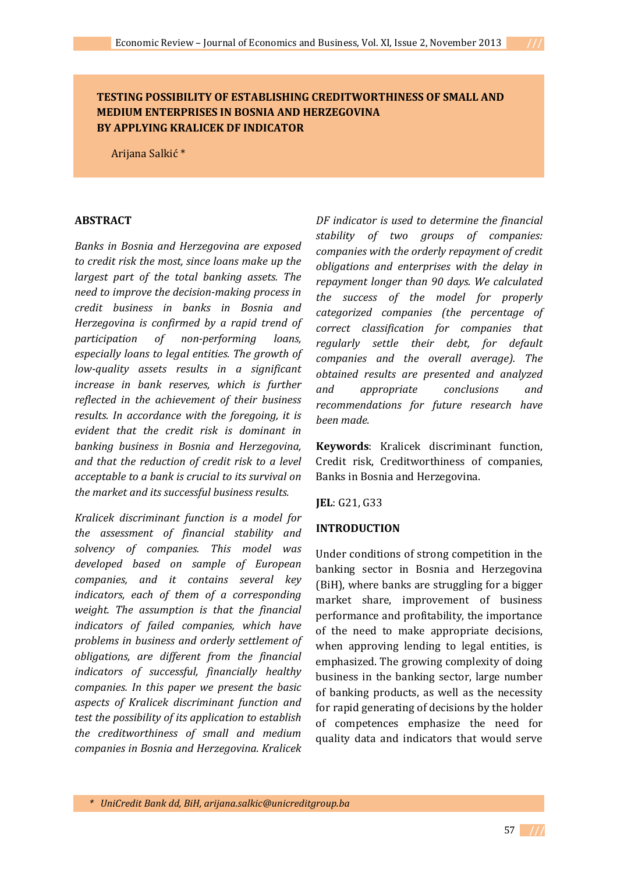### **TESTING POSSIBILITY OF ESTABLISHING CREDITWORTHINESS OF SMALL AND MEDIUM ENTERPRISES IN BOSNIA AND HERZEGOVINA BY APPLYING KRALICEK DF INDICATOR**

Arijana Salkić \*

#### **ABSTRACT**

*Banks in Bosnia and Herzegovina are exposed to credit risk the most, since loans make up the largest part of the total banking assets. The need to improve the decision-making process in credit business in banks in Bosnia and Herzegovina is confirmed by a rapid trend of participation of non-performing loans, especially loans to legal entities. The growth of low-quality assets results in a significant increase in bank reserves, which is further reflected in the achievement of their business results. In accordance with the foregoing, it is evident that the credit risk is dominant in banking business in Bosnia and Herzegovina, and that the reduction of credit risk to a level acceptable to a bank is crucial to its survival on the market and its successful business results.* 

*Kralicek discriminant function is a model for the assessment of financial stability and solvency of companies. This model was developed based on sample of European companies, and it contains several key indicators, each of them of a corresponding weight. The assumption is that the financial indicators of failed companies, which have problems in business and orderly settlement of obligations, are different from the financial indicators of successful, financially healthy companies. In this paper we present the basic aspects of Kralicek discriminant function and test the possibility of its application to establish the creditworthiness of small and medium companies in Bosnia and Herzegovina. Kralicek* 

*DF indicator is used to determine the financial stability of two groups of companies: companies with the orderly repayment of credit obligations and enterprises with the delay in repayment longer than 90 days. We calculated the success of the model for properly categorized companies (the percentage of correct classification for companies that regularly settle their debt, for default companies and the overall average). The obtained results are presented and analyzed and appropriate conclusions and recommendations for future research have been made.* 

**Keywords**: Kralicek discriminant function, Credit risk, Creditworthiness of companies, Banks in Bosnia and Herzegovina.

**JEL**: G21, G33

#### **INTRODUCTION**

Under conditions of strong competition in the banking sector in Bosnia and Herzegovina (BiH), where banks are struggling for a bigger market share, improvement of business performance and profitability, the importance of the need to make appropriate decisions, when approving lending to legal entities, is emphasized. The growing complexity of doing business in the banking sector, large number of banking products, as well as the necessity for rapid generating of decisions by the holder of competences emphasize the need for quality data and indicators that would serve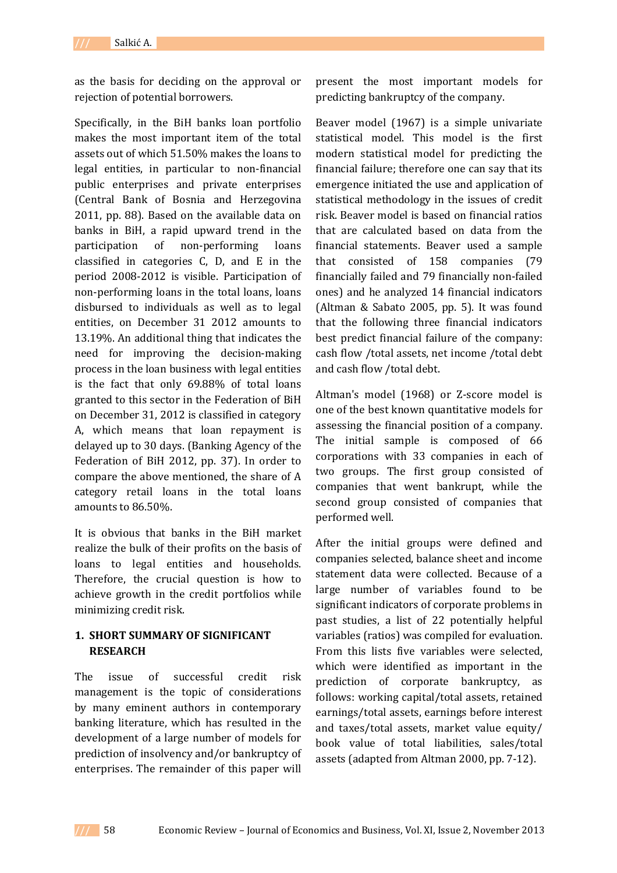as the basis for deciding on the approval or rejection of potential borrowers.

Specifically, in the BiH banks loan portfolio makes the most important item of the total assets out of which 51.50% makes the loans to legal entities, in particular to non-financial public enterprises and private enterprises (Central Bank of Bosnia and Herzegovina 2011, pp. 88). Based on the available data on banks in BiH, a rapid upward trend in the participation of non-performing loans classified in categories C, D, and E in the period 2008-2012 is visible. Participation of non-performing loans in the total loans, loans disbursed to individuals as well as to legal entities, on December 31 2012 amounts to 13.19%. An additional thing that indicates the need for improving the decision-making process in the loan business with legal entities is the fact that only 69.88% of total loans granted to this sector in the Federation of BiH on December 31, 2012 is classified in category A, which means that loan repayment is delayed up to 30 days. (Banking Agency of the Federation of BiH 2012, pp. 37). In order to compare the above mentioned, the share of A category retail loans in the total loans amounts to 86.50%.

It is obvious that banks in the BiH market realize the bulk of their profits on the basis of loans to legal entities and households. Therefore, the crucial question is how to achieve growth in the credit portfolios while minimizing credit risk.

### **1. SHORT SUMMARY OF SIGNIFICANT RESEARCH**

The issue of successful credit risk management is the topic of considerations by many eminent authors in contemporary banking literature, which has resulted in the development of a large number of models for prediction of insolvency and/or bankruptcy of enterprises. The remainder of this paper will

present the most important models for predicting bankruptcy of the company.

Beaver model (1967) is a simple univariate statistical model. This model is the first modern statistical model for predicting the financial failure; therefore one can say that its emergence initiated the use and application of statistical methodology in the issues of credit risk. Beaver model is based on financial ratios that are calculated based on data from the financial statements. Beaver used a sample that consisted of 158 companies (79 financially failed and 79 financially non-failed ones) and he analyzed 14 financial indicators (Altman & Sabato 2005, pp. 5). It was found that the following three financial indicators best predict financial failure of the company: cash flow /total assets, net income /total debt and cash flow /total debt.

Altman's model (1968) or Z-score model is one of the best known quantitative models for assessing the financial position of a company. The initial sample is composed of 66 corporations with 33 companies in each of two groups. The first group consisted of companies that went bankrupt, while the second group consisted of companies that performed well.

After the initial groups were defined and companies selected, balance sheet and income statement data were collected. Because of a large number of variables found to be significant indicators of corporate problems in past studies, a list of 22 potentially helpful variables (ratios) was compiled for evaluation. From this lists five variables were selected, which were identified as important in the prediction of corporate bankruptcy, as follows: working capital/total assets, retained earnings/total assets, earnings before interest and taxes/total assets, market value equity/ book value of total liabilities, sales/total assets (adapted from Altman 2000, pp. 7-12).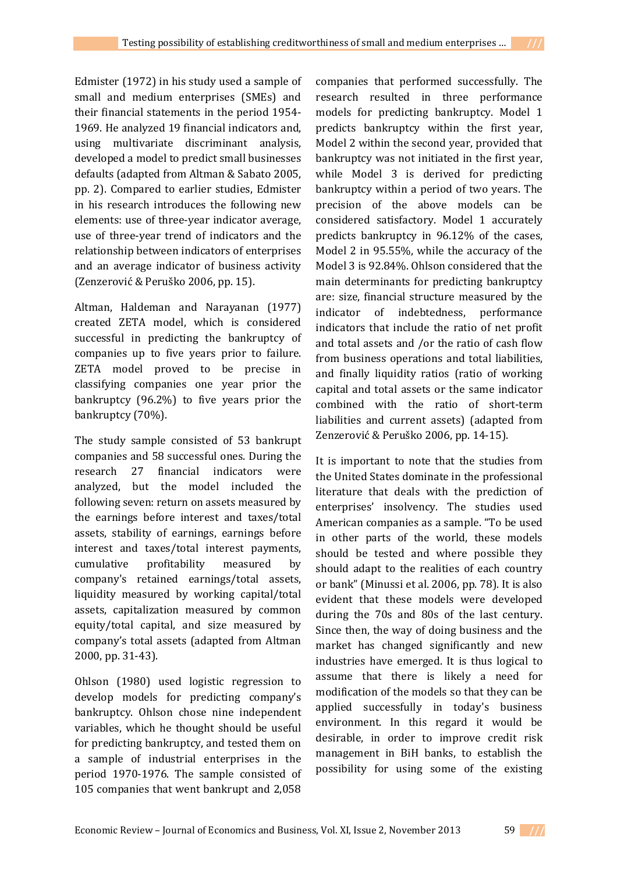Edmister (1972) in his study used a sample of small and medium enterprises (SMEs) and their financial statements in the period 1954- 1969. He analyzed 19 financial indicators and, using multivariate discriminant analysis, developed a model to predict small businesses defaults (adapted from Altman & Sabato 2005, pp. 2). Compared to earlier studies, Edmister in his research introduces the following new elements: use of three-year indicator average, use of three-year trend of indicators and the relationship between indicators of enterprises and an average indicator of business activity (Zenzerović & Peruško 2006, pp. 15).

Altman, Haldeman and Narayanan (1977) created ZETA model, which is considered successful in predicting the bankruptcy of companies up to five years prior to failure. ZETA model proved to be precise in classifying companies one year prior the bankruptcy (96.2%) to five years prior the bankruptcy (70%).

The study sample consisted of 53 bankrupt companies and 58 successful ones. During the research 27 financial indicators were analyzed, but the model included the following seven: return on assets measured by the earnings before interest and taxes/total assets, stability of earnings, earnings before interest and taxes/total interest payments, cumulative profitability measured by company's retained earnings/total assets, liquidity measured by working capital/total assets, capitalization measured by common equity/total capital, and size measured by company's total assets (adapted from Altman 2000, pp. 31-43).

Ohlson (1980) used logistic regression to develop models for predicting company's bankruptcy. Ohlson chose nine independent variables, which he thought should be useful for predicting bankruptcy, and tested them on a sample of industrial enterprises in the period 1970-1976. The sample consisted of 105 companies that went bankrupt and 2,058

companies that performed successfully. The research resulted in three performance models for predicting bankruptcy. Model 1 predicts bankruptcy within the first year, Model 2 within the second year, provided that bankruptcy was not initiated in the first year, while Model 3 is derived for predicting bankruptcy within a period of two years. The precision of the above models can be considered satisfactory. Model 1 accurately predicts bankruptcy in 96.12% of the cases, Model 2 in 95.55%, while the accuracy of the Model 3 is 92.84%. Ohlson considered that the main determinants for predicting bankruptcy are: size, financial structure measured by the indicator of indebtedness, performance indicators that include the ratio of net profit and total assets and /or the ratio of cash flow from business operations and total liabilities, and finally liquidity ratios (ratio of working capital and total assets or the same indicator combined with the ratio of short-term liabilities and current assets) (adapted from Zenzerović & Peruško 2006, pp. 14-15).

It is important to note that the studies from the United States dominate in the professional literature that deals with the prediction of enterprises' insolvency. The studies used American companies as a sample. "To be used in other parts of the world, these models should be tested and where possible they should adapt to the realities of each country or bank" (Minussi et al. 2006, pp. 78). It is also evident that these models were developed during the 70s and 80s of the last century. Since then, the way of doing business and the market has changed significantly and new industries have emerged. It is thus logical to assume that there is likely a need for modification of the models so that they can be applied successfully in today's business environment. In this regard it would be desirable, in order to improve credit risk management in BiH banks, to establish the possibility for using some of the existing

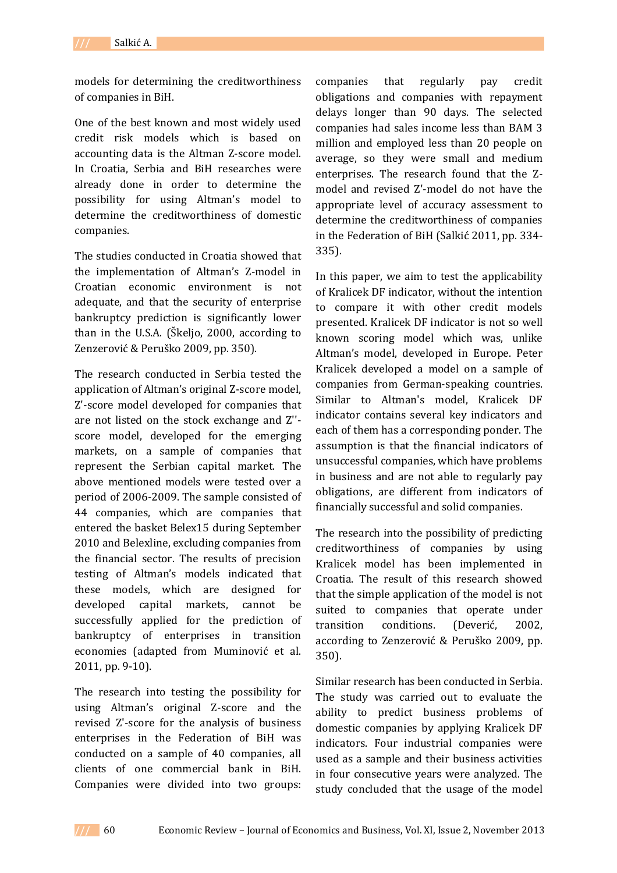models for determining the creditworthiness of companies in BiH.

One of the best known and most widely used credit risk models which is based on accounting data is the Altman Z-score model. In Croatia, Serbia and BiH researches were already done in order to determine the possibility for using Altman's model to determine the creditworthiness of domestic companies.

The studies conducted in Croatia showed that the implementation of Altman's Z-model in Croatian economic environment is not adequate, and that the security of enterprise bankruptcy prediction is significantly lower than in the U.S.A. (Škeljo, 2000, according to Zenzerović & Peruško 2009, pp. 350).

The research conducted in Serbia tested the application of Altman's original Z-score model, Z'-score model developed for companies that are not listed on the stock exchange and Z'' score model, developed for the emerging markets, on a sample of companies that represent the Serbian capital market. The above mentioned models were tested over a period of 2006-2009. The sample consisted of 44 companies, which are companies that entered the basket Belex15 during September 2010 and Belexline, excluding companies from the financial sector. The results of precision testing of Altman's models indicated that these models, which are designed for developed capital markets, cannot be successfully applied for the prediction of bankruptcy of enterprises in transition economies (adapted from Muminović et al. 2011, pp. 9-10).

The research into testing the possibility for using Altman's original Z-score and the revised Z'-score for the analysis of business enterprises in the Federation of BiH was conducted on a sample of 40 companies, all clients of one commercial bank in BiH. Companies were divided into two groups:

companies that regularly pay credit obligations and companies with repayment delays longer than 90 days. The selected companies had sales income less than BAM 3 million and employed less than 20 people on average, so they were small and medium enterprises. The research found that the Zmodel and revised Z'-model do not have the appropriate level of accuracy assessment to determine the creditworthiness of companies in the Federation of BiH (Salkić 2011, pp. 334- 335).

In this paper, we aim to test the applicability of Kralicek DF indicator, without the intention to compare it with other credit models presented. Kralicek DF indicator is not so well known scoring model which was, unlike Altman's model, developed in Europe. Peter Kralicek developed a model on a sample of companies from German-speaking countries. Similar to Altman's model, Kralicek DF indicator contains several key indicators and each of them has a corresponding ponder. The assumption is that the financial indicators of unsuccessful companies, which have problems in business and are not able to regularly pay obligations, are different from indicators of financially successful and solid companies.

The research into the possibility of predicting creditworthiness of companies by using Kralicek model has been implemented in Croatia. The result of this research showed that the simple application of the model is not suited to companies that operate under transition conditions. (Deverić, 2002, according to Zenzerović & Peruško 2009, pp. 350).

Similar research has been conducted in Serbia. The study was carried out to evaluate the ability to predict business problems of domestic companies by applying Kralicek DF indicators. Four industrial companies were used as a sample and their business activities in four consecutive years were analyzed. The study concluded that the usage of the model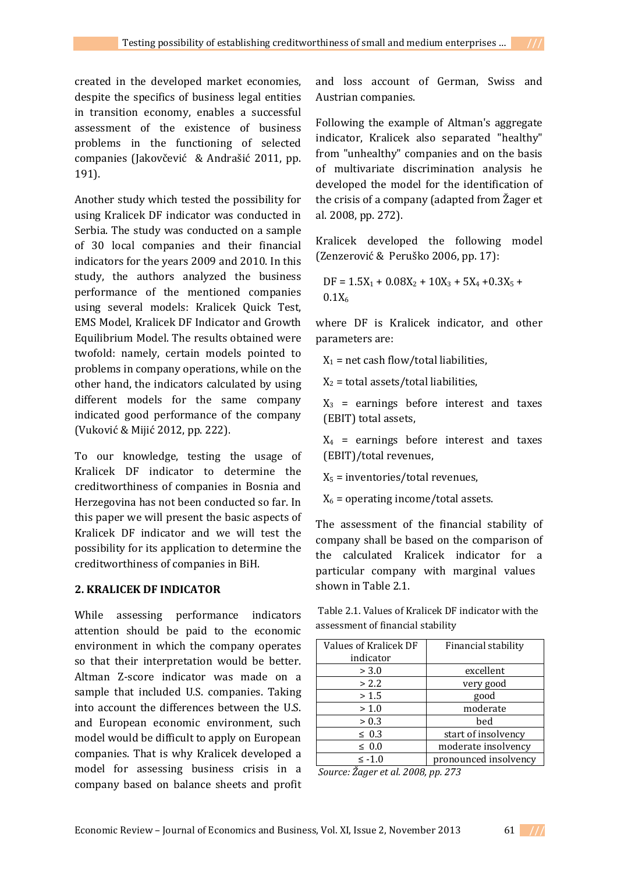created in the developed market economies, despite the specifics of business legal entities in transition economy, enables a successful assessment of the existence of business problems in the functioning of selected companies (Jakovčević & Andrašić 2011, pp. 191).

Another study which tested the possibility for using Kralicek DF indicator was conducted in Serbia. The study was conducted on a sample of 30 local companies and their financial indicators for the years 2009 and 2010. In this study, the authors analyzed the business performance of the mentioned companies using several models: Kralicek Quick Test, EMS Model, Kralicek DF Indicator and Growth Equilibrium Model. The results obtained were twofold: namely, certain models pointed to problems in company operations, while on the other hand, the indicators calculated by using different models for the same company indicated good performance of the company (Vuković & Mijić 2012, pp. 222).

To our knowledge, testing the usage of Kralicek DF indicator to determine the creditworthiness of companies in Bosnia and Herzegovina has not been conducted so far. In this paper we will present the basic aspects of Kralicek DF indicator and we will test the possibility for its application to determine the creditworthiness of companies in BiH.

#### **2. KRALICEK DF INDICATOR**

While assessing performance indicators attention should be paid to the economic environment in which the company operates so that their interpretation would be better. Altman Z-score indicator was made on a sample that included U.S. companies. Taking into account the differences between the U.S. and European economic environment, such model would be difficult to apply on European companies. That is why Kralicek developed a model for assessing business crisis in a company based on balance sheets and profit

and loss account of German, Swiss and Austrian companies.

Following the example of Altman's aggregate indicator, Kralicek also separated "healthy" from "unhealthy" companies and on the basis of multivariate discrimination analysis he developed the model for the identification of the crisis of a company (adapted from Žager et al. 2008, pp. 272).

Kralicek developed the following model (Zenzerović & Peruško 2006, pp. 17):

 $DF = 1.5X_1 + 0.08X_2 + 10X_3 + 5X_4 + 0.3X_5 +$ 0.1X<sub>6</sub>

where DF is Kralicek indicator, and other parameters are:

 $X_1$  = net cash flow/total liabilities,

 $X_2$  = total assets/total liabilities,

 $X_3$  = earnings before interest and taxes (EBIT) total assets,

 $X_4$  = earnings before interest and taxes (EBIT)/total revenues,

 $X_5$  = inventories/total revenues,

 $X_6$  = operating income/total assets.

The assessment of the financial stability of company shall be based on the comparison of the calculated Kralicek indicator for a particular company with marginal values shown in Table 2.1.

 Table 2.1. Values of Kralicek DF indicator with the assessment of financial stability

| Values of Kralicek DF | Financial stability   |
|-----------------------|-----------------------|
| indicator             |                       |
| > 3.0                 | excellent             |
| > 2.2                 | very good             |
| > 1.5                 | good                  |
| > 1.0                 | moderate              |
| > 0.3                 | bed                   |
| $\leq 0.3$            | start of insolvency   |
| $\leq 0.0$            | moderate insolvency   |
| $\leq -1.0$           | pronounced insolvency |

 *Source: Žager et al. 2008, pp. 273* 

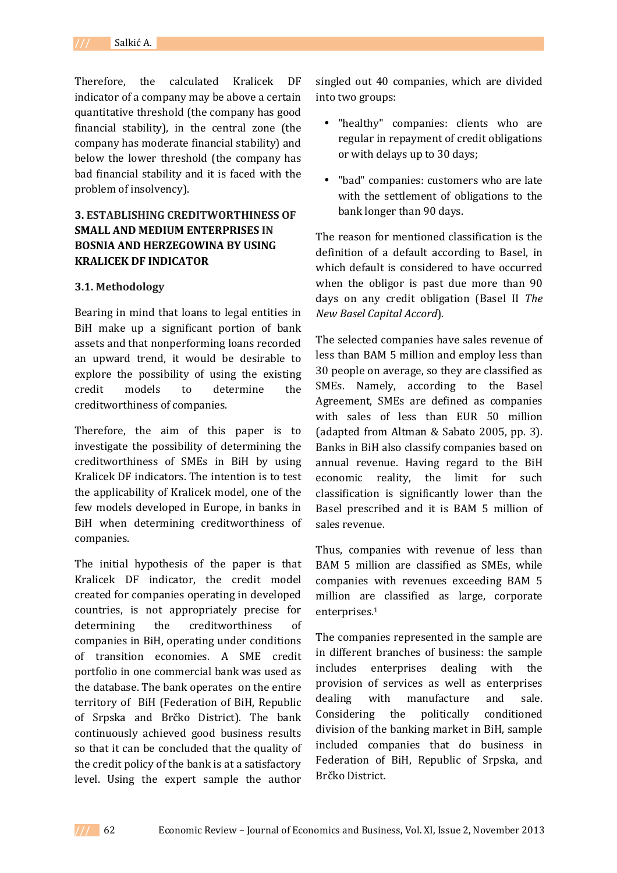Therefore, the calculated Kralicek DF indicator of a company may be above a certain quantitative threshold (the company has good financial stability), in the central zone (the company has moderate financial stability) and below the lower threshold (the company has bad financial stability and it is faced with the problem of insolvency).

## **3. ESTABLISHING CREDITWORTHINESS OF SMALL AND MEDIUM ENTERPRISES IN BOSNIA AND HERZEGOWINA BY USING KRALICEK DF INDICATOR**

### **3.1. Methodology**

Bearing in mind that loans to legal entities in BiH make up a significant portion of bank assets and that nonperforming loans recorded an upward trend, it would be desirable to explore the possibility of using the existing credit models to determine the creditworthiness of companies.

Therefore, the aim of this paper is to investigate the possibility of determining the creditworthiness of SMEs in BiH by using Kralicek DF indicators. The intention is to test the applicability of Kralicek model, one of the few models developed in Europe, in banks in BiH when determining creditworthiness of companies.

The initial hypothesis of the paper is that Kralicek DF indicator, the credit model created for companies operating in developed countries, is not appropriately precise for determining the creditworthiness of companies in BiH, operating under conditions of transition economies. A SME credit portfolio in one commercial bank was used as the database. The bank operates on the entire territory of BiH (Federation of BiH, Republic of Srpska and Brčko District). The bank continuously achieved good business results so that it can be concluded that the quality of the credit policy of the bank is at a satisfactory level. Using the expert sample the author

singled out 40 companies, which are divided into two groups:

- "healthy" companies: clients who are regular in repayment of credit obligations or with delays up to 30 days;
- "bad" companies: customers who are late with the settlement of obligations to the bank longer than 90 days.

The reason for mentioned classification is the definition of a default according to Basel, in which default is considered to have occurred when the obligor is past due more than 90 days on any credit obligation (Basel II *The New Basel Capital Accord*).

The selected companies have sales revenue of less than BAM 5 million and employ less than 30 people on average, so they are classified as SMEs. Namely, according to the Basel Agreement, SMEs are defined as companies with sales of less than EUR 50 million (adapted from Altman & Sabato 2005, pp. 3). Banks in BiH also classify companies based on annual revenue. Having regard to the BiH economic reality, the limit for such classification is significantly lower than the Basel prescribed and it is BAM 5 million of sales revenue.

Thus, companies with revenue of less than BAM 5 million are classified as SMEs, while companies with revenues exceeding BAM 5 million are classified as large, corporate enterprises.<sup>1</sup>

The companies represented in the sample are in different branches of business: the sample includes enterprises dealing with the provision of services as well as enterprises dealing with manufacture and sale. Considering the politically conditioned division of the banking market in BiH, sample included companies that do business in Federation of BiH, Republic of Srpska, and Brčko District.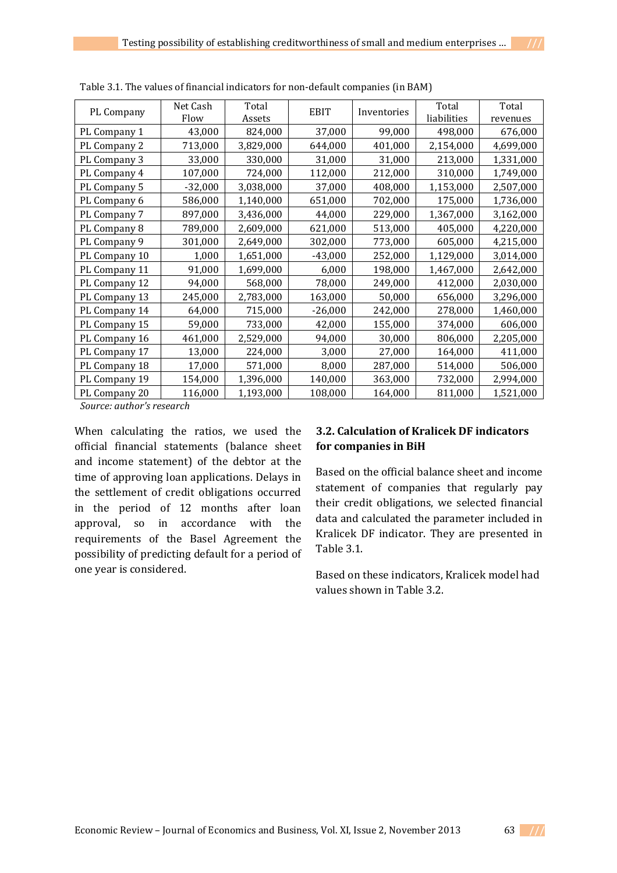| PL Company    | Net Cash<br>Flow | Total<br>Assets | <b>EBIT</b> | Inventories | Total<br>liabilities | Total<br>revenues |
|---------------|------------------|-----------------|-------------|-------------|----------------------|-------------------|
| PL Company 1  | 43,000           | 824,000         | 37,000      | 99,000      | 498,000              | 676,000           |
| PL Company 2  | 713,000          | 3,829,000       | 644,000     | 401,000     | 2,154,000            | 4,699,000         |
| PL Company 3  | 33,000           | 330,000         | 31,000      | 31,000      | 213,000              | 1,331,000         |
| PL Company 4  | 107,000          | 724,000         | 112,000     | 212,000     | 310,000              | 1,749,000         |
| PL Company 5  | $-32,000$        | 3,038,000       | 37,000      | 408,000     | 1,153,000            | 2,507,000         |
| PL Company 6  | 586,000          | 1,140,000       | 651,000     | 702,000     | 175,000              | 1,736,000         |
| PL Company 7  | 897,000          | 3,436,000       | 44,000      | 229,000     | 1,367,000            | 3,162,000         |
| PL Company 8  | 789,000          | 2,609,000       | 621,000     | 513,000     | 405,000              | 4,220,000         |
| PL Company 9  | 301,000          | 2,649,000       | 302,000     | 773,000     | 605,000              | 4,215,000         |
| PL Company 10 | 1,000            | 1,651,000       | $-43,000$   | 252,000     | 1,129,000            | 3,014,000         |
| PL Company 11 | 91,000           | 1,699,000       | 6,000       | 198,000     | 1,467,000            | 2,642,000         |
| PL Company 12 | 94,000           | 568,000         | 78,000      | 249,000     | 412,000              | 2,030,000         |
| PL Company 13 | 245,000          | 2,783,000       | 163,000     | 50,000      | 656,000              | 3,296,000         |
| PL Company 14 | 64,000           | 715,000         | $-26,000$   | 242,000     | 278,000              | 1,460,000         |
| PL Company 15 | 59,000           | 733,000         | 42,000      | 155,000     | 374,000              | 606,000           |
| PL Company 16 | 461,000          | 2,529,000       | 94,000      | 30,000      | 806,000              | 2,205,000         |
| PL Company 17 | 13,000           | 224,000         | 3,000       | 27,000      | 164,000              | 411,000           |
| PL Company 18 | 17,000           | 571,000         | 8,000       | 287,000     | 514,000              | 506,000           |
| PL Company 19 | 154,000          | 1,396,000       | 140,000     | 363,000     | 732,000              | 2,994,000         |
| PL Company 20 | 116,000          | 1,193,000       | 108,000     | 164,000     | 811,000              | 1,521,000         |

Table 3.1. The values of financial indicators for non-default companies (in BAM)

*Source: author's research*

When calculating the ratios, we used the official financial statements (balance sheet and income statement) of the debtor at the time of approving loan applications. Delays in the settlement of credit obligations occurred in the period of 12 months after loan approval, so in accordance with the requirements of the Basel Agreement the possibility of predicting default for a period of one year is considered.

# **3.2. Calculation of Kralicek DF indicators for companies in BiH**

Based on the official balance sheet and income statement of companies that regularly pay their credit obligations, we selected financial data and calculated the parameter included in Kralicek DF indicator. They are presented in Table 3.1.

Based on these indicators, Kralicek model had values shown in Table 3.2.

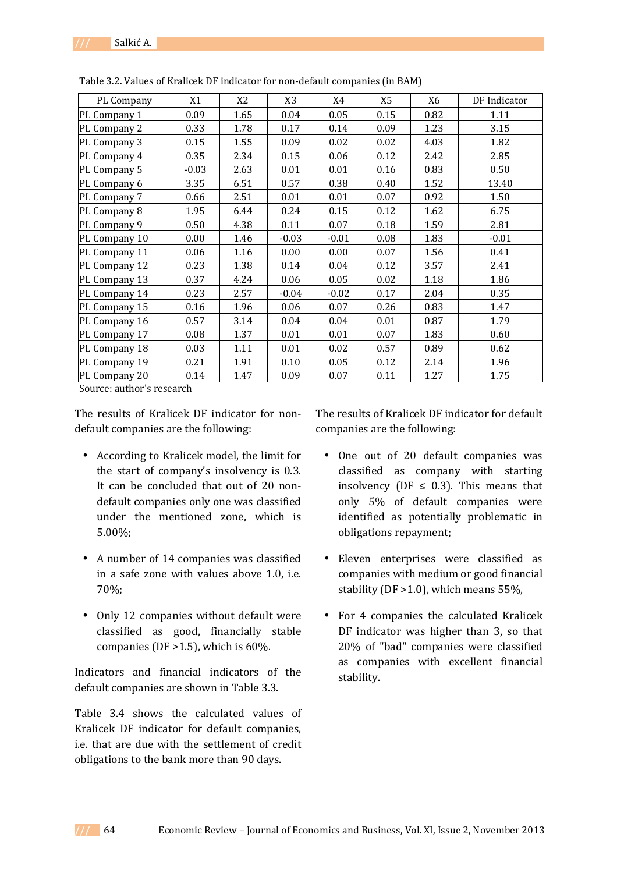| PL Company    | X1      | X <sub>2</sub> | X <sub>3</sub> | X4      | X <sub>5</sub> | X6   | DF Indicator |
|---------------|---------|----------------|----------------|---------|----------------|------|--------------|
| PL Company 1  | 0.09    | 1.65           | 0.04           | 0.05    | 0.15           | 0.82 | 1.11         |
| PL Company 2  | 0.33    | 1.78           | 0.17           | 0.14    | 0.09           | 1.23 | 3.15         |
| PL Company 3  | 0.15    | 1.55           | 0.09           | 0.02    | 0.02           | 4.03 | 1.82         |
| PL Company 4  | 0.35    | 2.34           | 0.15           | 0.06    | 0.12           | 2.42 | 2.85         |
| PL Company 5  | $-0.03$ | 2.63           | 0.01           | 0.01    | 0.16           | 0.83 | 0.50         |
| PL Company 6  | 3.35    | 6.51           | 0.57           | 0.38    | 0.40           | 1.52 | 13.40        |
| PL Company 7  | 0.66    | 2.51           | 0.01           | 0.01    | 0.07           | 0.92 | 1.50         |
| PL Company 8  | 1.95    | 6.44           | 0.24           | 0.15    | 0.12           | 1.62 | 6.75         |
| PL Company 9  | 0.50    | 4.38           | 0.11           | 0.07    | 0.18           | 1.59 | 2.81         |
| PL Company 10 | 0.00    | 1.46           | $-0.03$        | $-0.01$ | 0.08           | 1.83 | $-0.01$      |
| PL Company 11 | 0.06    | 1.16           | 0.00           | 0.00    | 0.07           | 1.56 | 0.41         |
| PL Company 12 | 0.23    | 1.38           | 0.14           | 0.04    | 0.12           | 3.57 | 2.41         |
| PL Company 13 | 0.37    | 4.24           | 0.06           | 0.05    | 0.02           | 1.18 | 1.86         |
| PL Company 14 | 0.23    | 2.57           | $-0.04$        | $-0.02$ | 0.17           | 2.04 | 0.35         |
| PL Company 15 | 0.16    | 1.96           | 0.06           | 0.07    | 0.26           | 0.83 | 1.47         |
| PL Company 16 | 0.57    | 3.14           | 0.04           | 0.04    | 0.01           | 0.87 | 1.79         |
| PL Company 17 | 0.08    | 1.37           | 0.01           | 0.01    | 0.07           | 1.83 | 0.60         |
| PL Company 18 | 0.03    | 1.11           | 0.01           | 0.02    | 0.57           | 0.89 | 0.62         |
| PL Company 19 | 0.21    | 1.91           | 0.10           | 0.05    | 0.12           | 2.14 | 1.96         |
| PL Company 20 | 0.14    | 1.47           | 0.09           | 0.07    | 0.11           | 1.27 | 1.75         |

Table 3.2. Values of Kralicek DF indicator for non-default companies (in BAM)

Source: author's research

The results of Kralicek DF indicator for nondefault companies are the following:

- According to Kralicek model, the limit for the start of company's insolvency is 0.3. It can be concluded that out of 20 nondefault companies only one was classified under the mentioned zone, which is 5.00%;
- A number of 14 companies was classified in a safe zone with values above 1.0, i.e. 70%;
- Only 12 companies without default were classified as good, financially stable companies (DF  $>1.5$ ), which is 60%.

Indicators and financial indicators of the default companies are shown in Table 3.3.

Table 3.4 shows the calculated values of Kralicek DF indicator for default companies, i.e. that are due with the settlement of credit obligations to the bank more than 90 days.

The results of Kralicek DF indicator for default companies are the following:

- One out of 20 default companies was classified as company with starting insolvency (DF  $\leq$  0.3). This means that only 5% of default companies were identified as potentially problematic in obligations repayment;
- Eleven enterprises were classified as companies with medium or good financial stability (DF >1.0), which means 55%,
- For 4 companies the calculated Kralicek DF indicator was higher than 3, so that 20% of "bad" companies were classified as companies with excellent financial stability.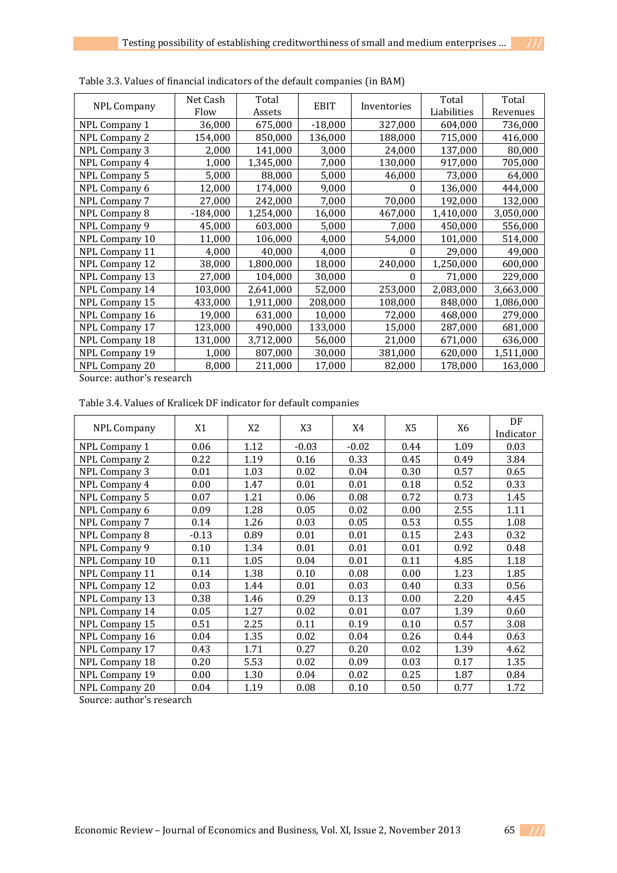| <b>NPL Company</b>   | Net Cash<br>Flow | Total<br>Assets | <b>EBIT</b> | Inventories | Total<br>Liabilities | Total<br>Revenues |
|----------------------|------------------|-----------------|-------------|-------------|----------------------|-------------------|
| <b>NPL Company 1</b> | 36,000           | 675,000         | $-18,000$   | 327,000     | 604,000              | 736,000           |
| NPL Company 2        | 154,000          | 850,000         | 136,000     | 188,000     | 715,000              | 416,000           |
| NPL Company 3        | 2,000            | 141,000         | 3,000       | 24,000      | 137,000              | 80,000            |
| NPL Company 4        | 1,000            | 1,345,000       | 7,000       | 130,000     | 917,000              | 705,000           |
| NPL Company 5        | 5,000            | 88,000          | 5,000       | 46,000      | 73,000               | 64,000            |
| NPL Company 6        | 12,000           | 174,000         | 9,000       | $\Omega$    | 136,000              | 444,000           |
| NPL Company 7        | 27,000           | 242,000         | 7,000       | 70,000      | 192,000              | 132,000           |
| NPL Company 8        | $-184,000$       | 1,254,000       | 16,000      | 467,000     | 1,410,000            | 3,050,000         |
| NPL Company 9        | 45,000           | 603,000         | 5,000       | 7,000       | 450,000              | 556,000           |
| NPL Company 10       | 11,000           | 106,000         | 4,000       | 54,000      | 101,000              | 514,000           |
| NPL Company 11       | 4,000            | 40,000          | 4,000       | 0           | 29,000               | 49,000            |
| NPL Company 12       | 38,000           | 1,800,000       | 18,000      | 240,000     | 1,250,000            | 600,000           |
| NPL Company 13       | 27,000           | 104,000         | 30,000      | $\Omega$    | 71,000               | 229,000           |
| NPL Company 14       | 103,000          | 2,641,000       | 52,000      | 253,000     | 2,083,000            | 3,663,000         |
| NPL Company 15       | 433,000          | 1,911,000       | 208,000     | 108,000     | 848,000              | 1,086,000         |
| NPL Company 16       | 19,000           | 631,000         | 10,000      | 72,000      | 468,000              | 279,000           |
| NPL Company 17       | 123,000          | 490,000         | 133,000     | 15,000      | 287,000              | 681,000           |
| NPL Company 18       | 131,000          | 3,712,000       | 56,000      | 21,000      | 671,000              | 636,000           |
| NPL Company 19       | 1,000            | 807,000         | 30,000      | 381,000     | 620,000              | 1,511,000         |
| NPL Company 20       | 8,000            | 211,000         | 17,000      | 82,000      | 178,000              | 163,000           |

Table 3.3. Values of financial indicators of the default companies (in BAM)

Source: author's research

Table 3.4. Values of Kralicek DF indicator for default companies

|                      |         |                |                |         |                | X6   | DF        |
|----------------------|---------|----------------|----------------|---------|----------------|------|-----------|
| <b>NPL Company</b>   | X1      | X <sub>2</sub> | X <sub>3</sub> | X4      | X <sub>5</sub> |      | Indicator |
| NPL Company 1        | 0.06    | 1.12           | $-0.03$        | $-0.02$ | 0.44           | 1.09 | 0.03      |
| <b>NPL Company 2</b> | 0.22    | 1.19           | 0.16           | 0.33    | 0.45           | 0.49 | 3.84      |
| <b>NPL Company 3</b> | 0.01    | 1.03           | 0.02           | 0.04    | 0.30           | 0.57 | 0.65      |
| NPL Company 4        | 0.00    | 1.47           | 0.01           | 0.01    | 0.18           | 0.52 | 0.33      |
| NPL Company 5        | 0.07    | 1.21           | 0.06           | 0.08    | 0.72           | 0.73 | 1.45      |
| NPL Company 6        | 0.09    | 1.28           | 0.05           | 0.02    | 0.00           | 2.55 | 1.11      |
| NPL Company 7        | 0.14    | 1.26           | 0.03           | 0.05    | 0.53           | 0.55 | 1.08      |
| NPL Company 8        | $-0.13$ | 0.89           | 0.01           | 0.01    | 0.15           | 2.43 | 0.32      |
| NPL Company 9        | 0.10    | 1.34           | 0.01           | 0.01    | 0.01           | 0.92 | 0.48      |
| NPL Company 10       | 0.11    | 1.05           | 0.04           | 0.01    | 0.11           | 4.85 | 1.18      |
| NPL Company 11       | 0.14    | 1.38           | 0.10           | 0.08    | 0.00           | 1.23 | 1.85      |
| NPL Company 12       | 0.03    | 1.44           | 0.01           | 0.03    | 0.40           | 0.33 | 0.56      |
| NPL Company 13       | 0.38    | 1.46           | 0.29           | 0.13    | 0.00           | 2.20 | 4.45      |
| NPL Company 14       | 0.05    | 1.27           | 0.02           | 0.01    | 0.07           | 1.39 | 0.60      |
| NPL Company 15       | 0.51    | 2.25           | 0.11           | 0.19    | 0.10           | 0.57 | 3.08      |
| NPL Company 16       | 0.04    | 1.35           | 0.02           | 0.04    | 0.26           | 0.44 | 0.63      |
| NPL Company 17       | 0.43    | 1.71           | 0.27           | 0.20    | 0.02           | 1.39 | 4.62      |
| NPL Company 18       | 0.20    | 5.53           | 0.02           | 0.09    | 0.03           | 0.17 | 1.35      |
| NPL Company 19       | 0.00    | 1.30           | 0.04           | 0.02    | 0.25           | 1.87 | 0.84      |
| NPL Company 20       | 0.04    | 1.19           | 0.08           | 0.10    | 0.50           | 0.77 | 1.72      |

Source: author's research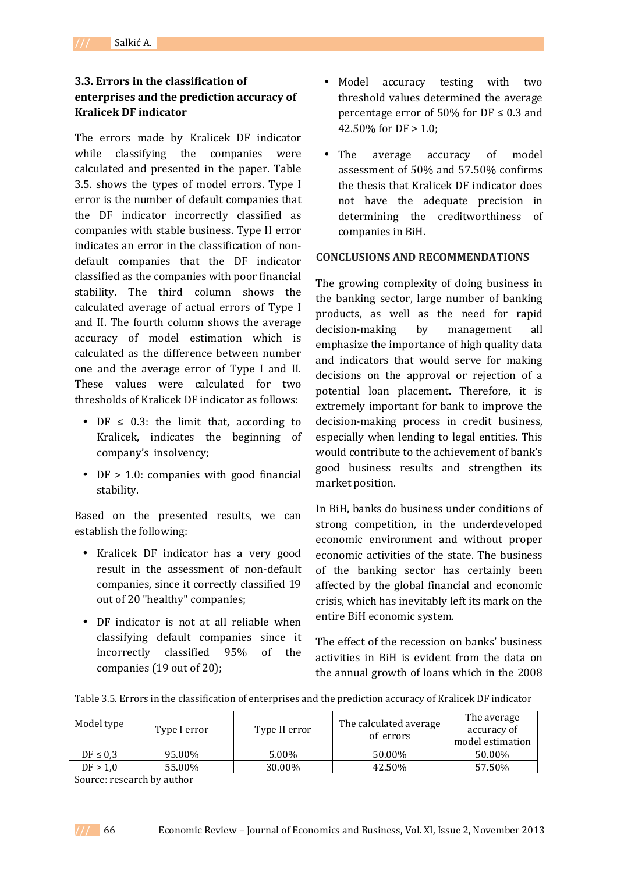## **3.3. Errors in the classification of enterprises and the prediction accuracy of Kralicek DF indicator**

The errors made by Kralicek DF indicator while classifying the companies were calculated and presented in the paper. Table 3.5. shows the types of model errors. Type I error is the number of default companies that the DF indicator incorrectly classified as companies with stable business. Type II error indicates an error in the classification of nondefault companies that the DF indicator classified as the companies with poor financial stability. The third column shows the calculated average of actual errors of Type I and II. The fourth column shows the average accuracy of model estimation which is calculated as the difference between number one and the average error of Type I and II. These values were calculated for two thresholds of Kralicek DF indicator as follows:

- DF  $\leq$  0.3: the limit that, according to Kralicek, indicates the beginning of company's insolvency;
- DF > 1.0: companies with good financial stability.

Based on the presented results, we can establish the following:

- Kralicek DF indicator has a very good result in the assessment of non-default companies, since it correctly classified 19 out of 20 "healthy" companies;
- DF indicator is not at all reliable when classifying default companies since it incorrectly classified 95% of the companies (19 out of 20);
- Model accuracy testing with two threshold values determined the average percentage error of 50% for  $DF \le 0.3$  and 42.50% for DF > 1.0;
- The average accuracy of model assessment of 50% and 57.50% confirms the thesis that Kralicek DF indicator does not have the adequate precision in determining the creditworthiness of companies in BiH.

### **CONCLUSIONS AND RECOMMENDATIONS**

The growing complexity of doing business in the banking sector, large number of banking products, as well as the need for rapid decision-making by management all emphasize the importance of high quality data and indicators that would serve for making decisions on the approval or rejection of a potential loan placement. Therefore, it is extremely important for bank to improve the decision-making process in credit business, especially when lending to legal entities. This would contribute to the achievement of bank's good business results and strengthen its market position.

In BiH, banks do business under conditions of strong competition, in the underdeveloped economic environment and without proper economic activities of the state. The business of the banking sector has certainly been affected by the global financial and economic crisis, which has inevitably left its mark on the entire BiH economic system.

The effect of the recession on banks' business activities in BiH is evident from the data on the annual growth of loans which in the 2008

|  |  | Table 3.5. Errors in the classification of enterprises and the prediction accuracy of Kralicek DF indicator |
|--|--|-------------------------------------------------------------------------------------------------------------|
|  |  |                                                                                                             |

| Model type    | Type I error | Type II error | The calculated average<br>of errors | The average<br>accuracy of<br>model estimation |
|---------------|--------------|---------------|-------------------------------------|------------------------------------------------|
| $DF \leq 0.3$ | 95.00%       | 5.00%         | 50.00%                              | 50.00%                                         |
| DF > 1,0      | 55.00%       | 30.00%        | 42.50%                              | 57.50%                                         |

Source: research by author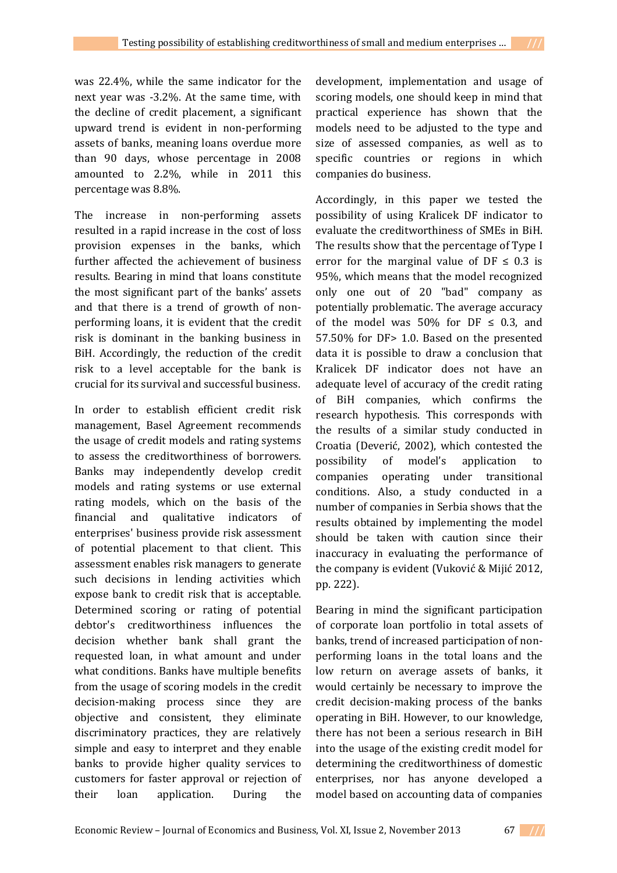was 22.4%, while the same indicator for the next year was -3.2%. At the same time, with the decline of credit placement, a significant upward trend is evident in non-performing assets of banks, meaning loans overdue more than 90 days, whose percentage in 2008 amounted to 2.2%, while in 2011 this percentage was 8.8%.

The increase in non-performing assets resulted in a rapid increase in the cost of loss provision expenses in the banks, which further affected the achievement of business results. Bearing in mind that loans constitute the most significant part of the banks' assets and that there is a trend of growth of nonperforming loans, it is evident that the credit risk is dominant in the banking business in BiH. Accordingly, the reduction of the credit risk to a level acceptable for the bank is crucial for its survival and successful business.

In order to establish efficient credit risk management, Basel Agreement recommends the usage of credit models and rating systems to assess the creditworthiness of borrowers. Banks may independently develop credit models and rating systems or use external rating models, which on the basis of the financial and qualitative indicators of enterprises' business provide risk assessment of potential placement to that client. This assessment enables risk managers to generate such decisions in lending activities which expose bank to credit risk that is acceptable. Determined scoring or rating of potential debtor's creditworthiness influences the decision whether bank shall grant the requested loan, in what amount and under what conditions. Banks have multiple benefits from the usage of scoring models in the credit decision-making process since they are objective and consistent, they eliminate discriminatory practices, they are relatively simple and easy to interpret and they enable banks to provide higher quality services to customers for faster approval or rejection of their loan application. During the

development, implementation and usage of scoring models, one should keep in mind that practical experience has shown that the models need to be adjusted to the type and size of assessed companies, as well as to specific countries or regions in which companies do business.

Accordingly, in this paper we tested the possibility of using Kralicek DF indicator to evaluate the creditworthiness of SMEs in BiH. The results show that the percentage of Type I error for the marginal value of  $DF \leq 0.3$  is 95%, which means that the model recognized only one out of 20 "bad" company as potentially problematic. The average accuracy of the model was 50% for DF  $\leq$  0.3, and 57.50% for DF> 1.0. Based on the presented data it is possible to draw a conclusion that Kralicek DF indicator does not have an adequate level of accuracy of the credit rating of BiH companies, which confirms the research hypothesis. This corresponds with the results of a similar study conducted in Croatia (Deverić, 2002), which contested the possibility of model's application to companies operating under transitional conditions. Also, a study conducted in a number of companies in Serbia shows that the results obtained by implementing the model should be taken with caution since their inaccuracy in evaluating the performance of the company is evident (Vuković & Mijić 2012, pp. 222).

Bearing in mind the significant participation of corporate loan portfolio in total assets of banks, trend of increased participation of nonperforming loans in the total loans and the low return on average assets of banks, it would certainly be necessary to improve the credit decision-making process of the banks operating in BiH. However, to our knowledge, there has not been a serious research in BiH into the usage of the existing credit model for determining the creditworthiness of domestic enterprises, nor has anyone developed a model based on accounting data of companies

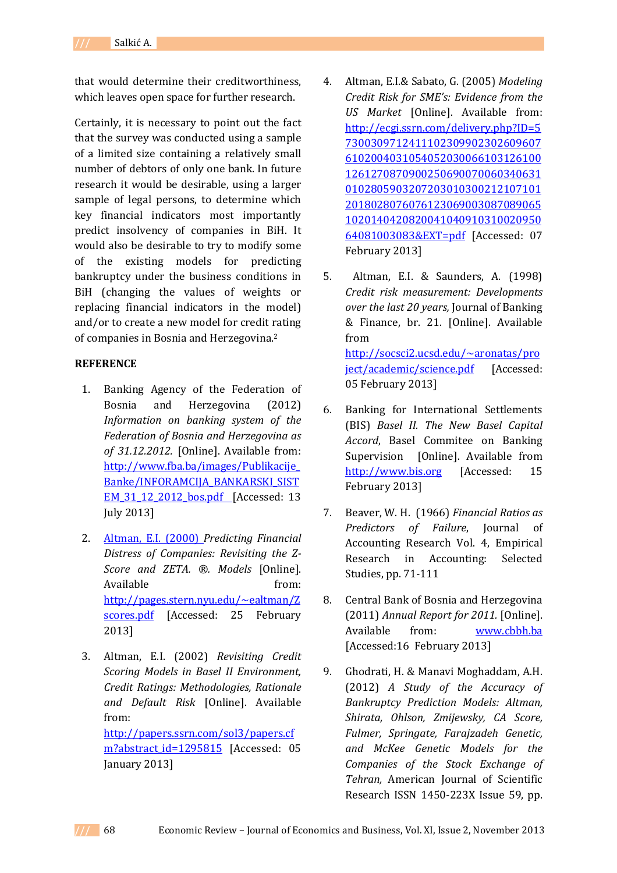that would determine their creditworthiness, which leaves open space for further research.

Certainly, it is necessary to point out the fact that the survey was conducted using a sample of a limited size containing a relatively small number of debtors of only one bank. In future research it would be desirable, using a larger sample of legal persons, to determine which key financial indicators most importantly predict insolvency of companies in BiH. It would also be desirable to try to modify some of the existing models for predicting bankruptcy under the business conditions in BiH (changing the values of weights or replacing financial indicators in the model) and/or to create a new model for credit rating of companies in Bosnia and Herzegovina.<sup>2</sup>

### **REFERENCE**

- 1. Banking Agency of the Federation of Bosnia and Herzegovina (2012) *Information on banking system of the Federation of Bosnia and Herzegovina as of 31.12.2012.* [Online]. Available from: http://www.fba.ba/images/Publikacije\_ Banke/INFORAMCIJA\_BANKARSKI\_SIST EM\_31\_12\_2012\_bos.pdf [Accessed: 13 July 2013]
- 2. Altman, E.I. (2000) *Predicting Financial Distress of Companies: Revisiting the Z-Score and ZETA. ®. Models* [Online]. Available from: http://pages.stern.nyu.edu/~ealtman/Z scores.pdf [Accessed: 25 February 2013]
- 3. Altman, E.I. (2002) *Revisiting Credit Scoring Models in Basel II Environment, Credit Ratings: Methodologies, Rationale and Default Risk* [Online]. Available from: http://papers.ssrn.com/sol3/papers.cf m?abstract\_id=1295815 [Accessed: 05 January 2013]
- 4. Altman, E.I.& Sabato, G. (2005) *Modeling Credit Risk for SME's: Evidence from the US Market* [Online]. Available from: http://ecgi.ssrn.com/delivery.php?ID=5 7300309712411102309902302609607 6102004031054052030066103126100 1261270870900250690070060340631 0102805903207203010300212107101 2018028076076123069003087089065 1020140420820041040910310020950 64081003083&EXT=pdf [Accessed: 07 February 2013]
- 5. Altman, E.I. & Saunders, A. (1998) *Credit risk measurement: Developments over the last 20 years,* Journal of Banking & Finance, br. 21. [Online]. Available from http://socsci2.ucsd.edu/~aronatas/pro ject/academic/science.pdf [Accessed: 05 February 2013]
- 6. Banking for International Settlements (BIS) *Basel II. The New Basel Capital Accord*, Basel Commitee on Banking Supervision [Online]. Available from http://www.bis.org [Accessed: 15 February 2013]
- 7. Beaver, W. H. (1966) *Financial Ratios as Predictors of Failure*, Journal of Accounting Research Vol. 4, Empirical Research in Accounting: Selected Studies, pp. 71-111
- 8. Central Bank of Bosnia and Herzegovina (2011) *Annual Report for 2011.* [Online]. Available from: www.cbbh.ba [Accessed:16 February 2013]
- 9. Ghodrati, H. & Manavi Moghaddam, A.H. (2012) *A Study of the Accuracy of Bankruptcy Prediction Models: Altman, Shirata, Ohlson, Zmijewsky, CA Score, Fulmer, Springate, Farajzadeh Genetic, and McKee Genetic Models for the Companies of the Stock Exchange of Tehran,* American Journal of Scientific Research ISSN 1450-223X Issue 59, pp.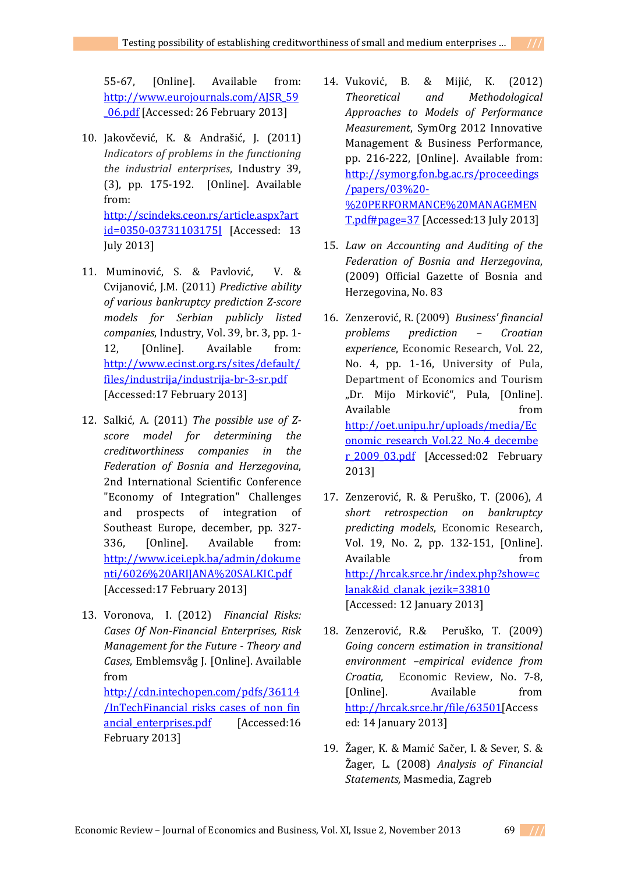55-67, [Online]. Available from: http://www.eurojournals.com/AJSR\_59 \_06.pdf [Accessed: 26 February 2013]

- 10. Jakovčević, K. & Andrašić, J. (2011) *Indicators of problems in the functioning the industrial enterprises*, Industry 39, (3), pp. 175-192. [Online]. Available from: http://scindeks.ceon.rs/article.aspx?art id=0350-03731103175J [Accessed: 13 July 2013]
- 11. Muminović, S. & Pavlović, V. & Cvijanović, J.M. (2011) *Predictive ability of various bankruptcy prediction Z-score models for Serbian publicly listed companies*, Industry, Vol. 39, br. 3, pp. 1- 12, [Online]. Available from: http://www.ecinst.org.rs/sites/default/ files/industrija/industrija-br-3-sr.pdf [Accessed:17 February 2013]
- 12. Salkić, A. (2011) *The possible use of Zscore model for determining the creditworthiness companies in the Federation of Bosnia and Herzegovina*, 2nd International Scientific Conference "Economy of Integration" Challenges and prospects of integration of Southeast Europe, december, pp. 327- 336, [Online]. Available from: http://www.icei.epk.ba/admin/dokume nti/6026%20ARIJANA%20SALKIC.pdf [Accessed:17 February 2013]
- 13. Voronova, I. (2012) *Financial Risks: Cases Of Non-Financial Enterprises, Risk Management for the Future - Theory and Cases*, Emblemsvåg J. [Online]. Available from http://cdn.intechopen.com/pdfs/36114 /InTechFinancial\_risks\_cases\_of\_non\_fin ancial enterprises.pdf [Accessed:16] February 2013]
- 14. Vuković, B. & Mijić, K. (2012) *Theoretical and Methodological Approaches to Models of Performance Measurement*, SymOrg 2012 Innovative Management & Business Performance, pp. 216-222, [Online]. Available from: http://symorg.fon.bg.ac.rs/proceedings /papers/03%20- %20PERFORMANCE%20MANAGEMEN T.pdf#page=37 [Accessed:13 July 2013]
- 15. *Law on Accounting and Auditing of the Federation of Bosnia and Herzegovina*, (2009) Official Gazette of Bosnia and Herzegovina, No. 83
- 16. Zenzerović, R. (2009) *Business' financial problems prediction – Croatian experience*, Economic Research, Vol. 22, No. 4, pp. 1-16, University of Pula, Department of Economics and Tourism "Dr. Mijo Mirković", Pula, [Online]. Available from from http://oet.unipu.hr/uploads/media/Ec onomic\_research\_Vol.22\_No.4\_decembe r\_2009\_03.pdf [Accessed:02 February 2013]
- 17. Zenzerović, R. & Peruško, T. (2006), *A short retrospection on bankruptcy predicting models*, Economic Research, Vol. 19, No. 2, pp. 132-151, [Online]. Available from from http://hrcak.srce.hr/index.php?show=c lanak&id\_clanak\_jezik=33810 [Accessed: 12 January 2013]
- 18. Zenzerović, R.& Peruško, T. (2009) *Going concern estimation in transitional environment –empirical evidence from Croatia,* Economic Review, No. 7-8, [Online]. Available from http://hrcak.srce.hr/file/63501[Access ed: 14 January 2013]
- 19. Žager, K. & Mamić Sačer, I. & Sever, S. & Žager, L. (2008) *Analysis of Financial Statements,* Masmedia, Zagreb